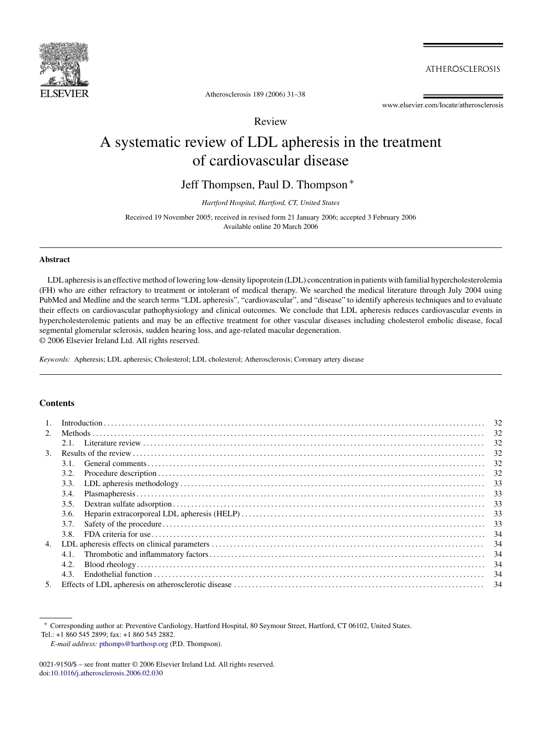

**ATHEROSCLEROSIS** 

Atherosclerosis 189 (2006) 31–38

www.elsevier.com/locate/atherosclerosis

## Review

# A systematic review of LDL apheresis in the treatment of cardiovascular disease

Jeff Thompsen, Paul D. Thompson ∗

*Hartford Hospital, Hartford, CT, United States*

Received 19 November 2005; received in revised form 21 January 2006; accepted 3 February 2006 Available online 20 March 2006

## **Abstract**

LDL apheresis is an effective method of lowering low-density lipoprotein (LDL) concentration in patients with familial hypercholesterolemia (FH) who are either refractory to treatment or intolerant of medical therapy. We searched the medical literature through July 2004 using PubMed and Medline and the search terms "LDL apheresis", "cardiovascular", and "disease" to identify apheresis techniques and to evaluate their effects on cardiovascular pathophysiology and clinical outcomes. We conclude that LDL apheresis reduces cardiovascular events in hypercholesterolemic patients and may be an effective treatment for other vascular diseases including cholesterol embolic disease, focal segmental glomerular sclerosis, sudden hearing loss, and age-related macular degeneration. © 2006 Elsevier Ireland Ltd. All rights reserved.

*Keywords:* Apheresis; LDL apheresis; Cholesterol; LDL cholesterol; Atherosclerosis; Coronary artery disease

## **Contents**

| $\mathbf{1}$ . | 32   |     |  |  |  |  |
|----------------|------|-----|--|--|--|--|
| 2.             |      |     |  |  |  |  |
|                |      | -32 |  |  |  |  |
| 3.             |      |     |  |  |  |  |
|                | 3.1. | 32  |  |  |  |  |
|                | 3.2. |     |  |  |  |  |
|                | 3.3. |     |  |  |  |  |
|                | 3.4. | -33 |  |  |  |  |
|                | 3.5. |     |  |  |  |  |
|                | 3.6. |     |  |  |  |  |
|                | 3.7. | 33  |  |  |  |  |
|                | 3.8  | -34 |  |  |  |  |
| 4.             |      |     |  |  |  |  |
|                | 4.1. | -34 |  |  |  |  |
|                | 4.2. | -34 |  |  |  |  |
|                | 4.3. | 34  |  |  |  |  |
| 5.             |      |     |  |  |  |  |

Tel.: +1 860 545 2899; fax: +1 860 545 2882.

<sup>∗</sup> Corresponding author at: Preventive Cardiology, Hartford Hospital, 80 Seymour Street, Hartford, CT 06102, United States.

*E-mail address:* [pthomps@harthosp.org](mailto:pthomps@harthosp.org) (P.D. Thompson).

<sup>0021-9150/\$ –</sup> see front matter © 2006 Elsevier Ireland Ltd. All rights reserved. doi[:10.1016/j.atherosclerosis.2006.02.030](dx.doi.org/10.1016/j.atherosclerosis.2006.02.030)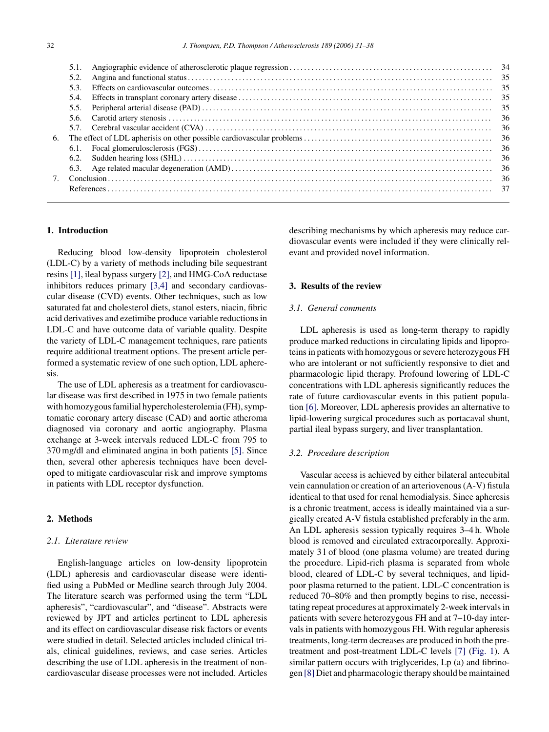| 5.1. |  |  |  |  |
|------|--|--|--|--|
| 5.2. |  |  |  |  |
| 5.3. |  |  |  |  |
| 5.4. |  |  |  |  |
| 5.5. |  |  |  |  |
| 5.6. |  |  |  |  |
|      |  |  |  |  |
|      |  |  |  |  |
| 6.1. |  |  |  |  |
| 6.2. |  |  |  |  |
|      |  |  |  |  |
|      |  |  |  |  |
|      |  |  |  |  |
|      |  |  |  |  |

#### **1. Introduction**

Reducing blood low-density lipoprotein cholesterol (LDL-C) by a variety of methods including bile sequestrant resins [\[1\], i](#page-6-0)leal bypass surgery [\[2\], a](#page-6-0)nd HMG-CoA reductase inhibitors reduces primary [\[3,4\]](#page-6-0) and secondary cardiovascular disease (CVD) events. Other techniques, such as low saturated fat and cholesterol diets, stanol esters, niacin, fibric acid derivatives and ezetimibe produce variable reductions in LDL-C and have outcome data of variable quality. Despite the variety of LDL-C management techniques, rare patients require additional treatment options. The present article performed a systematic review of one such option, LDL apheresis.

The use of LDL apheresis as a treatment for cardiovascular disease was first described in 1975 in two female patients with homozygous familial hypercholesterolemia (FH), symptomatic coronary artery disease (CAD) and aortic atheroma diagnosed via coronary and aortic angiography. Plasma exchange at 3-week intervals reduced LDL-C from 795 to 370 mg/dl and eliminated angina in both patients [\[5\].](#page-6-0) Since then, several other apheresis techniques have been developed to mitigate cardiovascular risk and improve symptoms in patients with LDL receptor dysfunction.

## **2. Methods**

#### *2.1. Literature review*

English-language articles on low-density lipoprotein (LDL) apheresis and cardiovascular disease were identified using a PubMed or Medline search through July 2004. The literature search was performed using the term "LDL apheresis", "cardiovascular", and "disease". Abstracts were reviewed by JPT and articles pertinent to LDL apheresis and its effect on cardiovascular disease risk factors or events were studied in detail. Selected articles included clinical trials, clinical guidelines, reviews, and case series. Articles describing the use of LDL apheresis in the treatment of noncardiovascular disease processes were not included. Articles

describing mechanisms by which apheresis may reduce cardiovascular events were included if they were clinically relevant and provided novel information.

## **3. Results of the review**

## *3.1. General comments*

LDL apheresis is used as long-term therapy to rapidly produce marked reductions in circulating lipids and lipoproteins in patients with homozygous or severe heterozygous FH who are intolerant or not sufficiently responsive to diet and pharmacologic lipid therapy. Profound lowering of LDL-C concentrations with LDL apheresis significantly reduces the rate of future cardiovascular events in this patient population [\[6\].](#page-6-0) Moreover, LDL apheresis provides an alternative to lipid-lowering surgical procedures such as portacaval shunt, partial ileal bypass surgery, and liver transplantation.

#### *3.2. Procedure description*

Vascular access is achieved by either bilateral antecubital vein cannulation or creation of an arteriovenous (A-V) fistula identical to that used for renal hemodialysis. Since apheresis is a chronic treatment, access is ideally maintained via a surgically created A-V fistula established preferably in the arm. An LDL apheresis session typically requires 3–4 h. Whole blood is removed and circulated extracorporeally. Approximately 3 l of blood (one plasma volume) are treated during the procedure. Lipid-rich plasma is separated from whole blood, cleared of LDL-C by several techniques, and lipidpoor plasma returned to the patient. LDL-C concentration is reduced 70–80% and then promptly begins to rise, necessitating repeat procedures at approximately 2-week intervals in patients with severe heterozygous FH and at 7–10-day intervals in patients with homozygous FH. With regular apheresis treatments, long-term decreases are produced in both the pretreatment and post-treatment LDL-C levels [\[7\]](#page-6-0) ([Fig. 1\).](#page-2-0) A similar pattern occurs with triglycerides, Lp (a) and fibrinogen [\[8\]](#page-6-0) Diet and pharmacologic therapy should be maintained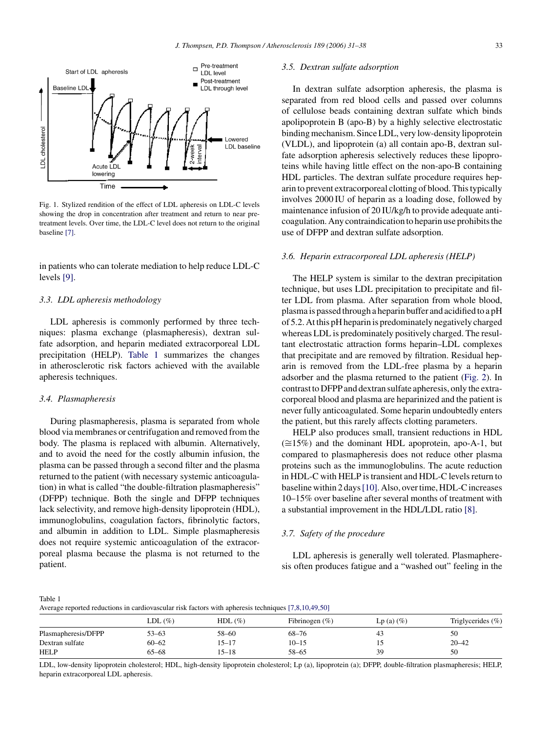<span id="page-2-0"></span>

Fig. 1. Stylized rendition of the effect of LDL apheresis on LDL-C levels showing the drop in concentration after treatment and return to near pretreatment levels. Over time, the LDL-C level does not return to the original baseline [\[7\].](#page-6-0)

in patients who can tolerate mediation to help reduce LDL-C levels [\[9\].](#page-6-0)

## *3.3. LDL apheresis methodology*

LDL apheresis is commonly performed by three techniques: plasma exchange (plasmapheresis), dextran sulfate adsorption, and heparin mediated extracorporeal LDL precipitation (HELP). Table 1 summarizes the changes in atherosclerotic risk factors achieved with the available apheresis techniques.

#### *3.4. Plasmapheresis*

During plasmapheresis, plasma is separated from whole blood via membranes or centrifugation and removed from the body. The plasma is replaced with albumin. Alternatively, and to avoid the need for the costly albumin infusion, the plasma can be passed through a second filter and the plasma returned to the patient (with necessary systemic anticoagulation) in what is called "the double-filtration plasmapheresis" (DFPP) technique. Both the single and DFPP techniques lack selectivity, and remove high-density lipoprotein (HDL), immunoglobulins, coagulation factors, fibrinolytic factors, and albumin in addition to LDL. Simple plasmapheresis does not require systemic anticoagulation of the extracorporeal plasma because the plasma is not returned to the patient.

#### *3.5. Dextran sulfate adsorption*

In dextran sulfate adsorption apheresis, the plasma is separated from red blood cells and passed over columns of cellulose beads containing dextran sulfate which binds apolipoprotein B (apo-B) by a highly selective electrostatic binding mechanism. Since LDL, very low-density lipoprotein (VLDL), and lipoprotein (a) all contain apo-B, dextran sulfate adsorption apheresis selectively reduces these lipoproteins while having little effect on the non-apo-B containing HDL particles. The dextran sulfate procedure requires heparin to prevent extracorporeal clotting of blood. This typically involves 2000 IU of heparin as a loading dose, followed by maintenance infusion of 20 IU/kg/h to provide adequate anticoagulation. Any contraindication to heparin use prohibits the use of DFPP and dextran sulfate adsorption.

#### *3.6. Heparin extracorporeal LDL apheresis (HELP)*

The HELP system is similar to the dextran precipitation technique, but uses LDL precipitation to precipitate and filter LDL from plasma. After separation from whole blood, plasma is passed through a heparin buffer and acidified to a pH of 5.2. At this pH heparin is predominately negatively charged whereas LDL is predominately positively charged. The resultant electrostatic attraction forms heparin–LDL complexes that precipitate and are removed by filtration. Residual heparin is removed from the LDL-free plasma by a heparin adsorber and the plasma returned to the patient ([Fig. 2\).](#page-3-0) In contrast to DFPP and dextran sulfate apheresis, only the extracorporeal blood and plasma are heparinized and the patient is never fully anticoagulated. Some heparin undoubtedly enters the patient, but this rarely affects clotting parameters.

HELP also produces small, transient reductions in HDL  $(\approx 15\%)$  and the dominant HDL apoprotein, apo-A-1, but compared to plasmapheresis does not reduce other plasma proteins such as the immunoglobulins. The acute reduction in HDL-C with HELP is transient and HDL-C levels return to baseline within 2 days[\[10\]. A](#page-6-0)lso, over time, HDL-C increases 10–15% over baseline after several months of treatment with a substantial improvement in the HDL/LDL ratio [\[8\].](#page-6-0)

## *3.7. Safety of the procedure*

LDL apheresis is generally well tolerated. Plasmapheresis often produces fatigue and a "washed out" feeling in the

Table 1 Average reported reductions in cardiovascular risk factors with apheresis techniques [\[7,8,10,49,50\]](#page-6-0)

|                     | $LDL(\%)$ | $HDL$ (%) | Fibrinogen $(\%)$ | $Lp(a)(\%)$ | Triglycerides $(\% )$ |
|---------------------|-----------|-----------|-------------------|-------------|-----------------------|
| Plasmapheresis/DFPP | 53–63     | 58-60     | $68 - 76$         | 45          | 50                    |
| Dextran sulfate     | $60 - 62$ | 15–17     | $10 - 15$         |             | $20 - 42$             |
| <b>HELP</b>         | $65 - 68$ | $15 - 18$ | $58 - 65$         | 39          | 50                    |

LDL, low-density lipoprotein cholesterol; HDL, high-density lipoprotein cholesterol; Lp (a), lipoprotein (a); DFPP, double-filtration plasmapheresis; HELP, heparin extracorporeal LDL apheresis.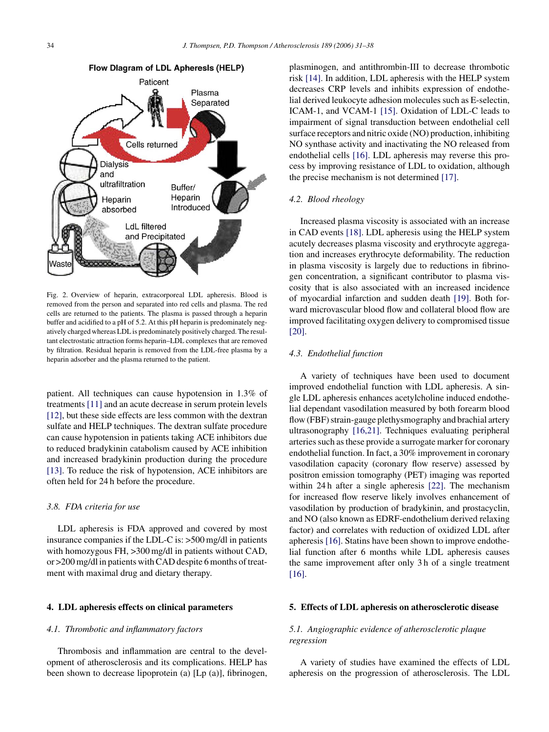<span id="page-3-0"></span>

Fig. 2. Overview of heparin, extracorporeal LDL apheresis. Blood is removed from the person and separated into red cells and plasma. The red cells are returned to the patients. The plasma is passed through a heparin buffer and acidified to a pH of 5.2. At this pH heparin is predominately negatively charged whereas LDL is predominately positively charged. The resultant electrostatic attraction forms heparin–LDL complexes that are removed by filtration. Residual heparin is removed from the LDL-free plasma by a heparin adsorber and the plasma returned to the patient.

patient. All techniques can cause hypotension in 1.3% of treatments [\[11\]](#page-6-0) and an acute decrease in serum protein levels [\[12\],](#page-6-0) but these side effects are less common with the dextran sulfate and HELP techniques. The dextran sulfate procedure can cause hypotension in patients taking ACE inhibitors due to reduced bradykinin catabolism caused by ACE inhibition and increased bradykinin production during the procedure [\[13\].](#page-6-0) To reduce the risk of hypotension, ACE inhibitors are often held for 24 h before the procedure.

#### *3.8. FDA criteria for use*

LDL apheresis is FDA approved and covered by most insurance companies if the LDL-C is: >500 mg/dl in patients with homozygous FH,  $>300$  mg/dl in patients without CAD, or >200 mg/dl in patients with CAD despite 6 months of treatment with maximal drug and dietary therapy.

#### **4. LDL apheresis effects on clinical parameters**

### *4.1. Thrombotic and inflammatory factors*

Thrombosis and inflammation are central to the development of atherosclerosis and its complications. HELP has been shown to decrease lipoprotein (a) [Lp (a)], fibrinogen, plasminogen, and antithrombin-III to decrease thrombotic risk [\[14\]. I](#page-6-0)n addition, LDL apheresis with the HELP system decreases CRP levels and inhibits expression of endothelial derived leukocyte adhesion molecules such as E-selectin, ICAM-1, and VCAM-1 [\[15\].](#page-6-0) Oxidation of LDL-C leads to impairment of signal transduction between endothelial cell surface receptors and nitric oxide (NO) production, inhibiting NO synthase activity and inactivating the NO released from endothelial cells [\[16\].](#page-6-0) LDL apheresis may reverse this process by improving resistance of LDL to oxidation, although the precise mechanism is not determined [\[17\].](#page-6-0)

#### *4.2. Blood rheology*

Increased plasma viscosity is associated with an increase in CAD events [\[18\].](#page-6-0) LDL apheresis using the HELP system acutely decreases plasma viscosity and erythrocyte aggregation and increases erythrocyte deformability. The reduction in plasma viscosity is largely due to reductions in fibrinogen concentration, a significant contributor to plasma viscosity that is also associated with an increased incidence of myocardial infarction and sudden death [\[19\].](#page-6-0) Both forward microvascular blood flow and collateral blood flow are improved facilitating oxygen delivery to compromised tissue [\[20\].](#page-6-0)

## *4.3. Endothelial function*

A variety of techniques have been used to document improved endothelial function with LDL apheresis. A single LDL apheresis enhances acetylcholine induced endothelial dependant vasodilation measured by both forearm blood flow (FBF) strain-gauge plethysmography and brachial artery ultrasonography [\[16,21\].](#page-6-0) Techniques evaluating peripheral arteries such as these provide a surrogate marker for coronary endothelial function. In fact, a 30% improvement in coronary vasodilation capacity (coronary flow reserve) assessed by positron emission tomography (PET) imaging was reported within 24 h after a single apheresis [\[22\].](#page-6-0) The mechanism for increased flow reserve likely involves enhancement of vasodilation by production of bradykinin, and prostacyclin, and NO (also known as EDRF-endothelium derived relaxing factor) and correlates with reduction of oxidized LDL after apheresis [\[16\]. S](#page-6-0)tatins have been shown to improve endothelial function after 6 months while LDL apheresis causes the same improvement after only 3 h of a single treatment [\[16\].](#page-6-0)

## **5. Effects of LDL apheresis on atherosclerotic disease**

## *5.1. Angiographic evidence of atherosclerotic plaque regression*

A variety of studies have examined the effects of LDL apheresis on the progression of atherosclerosis. The LDL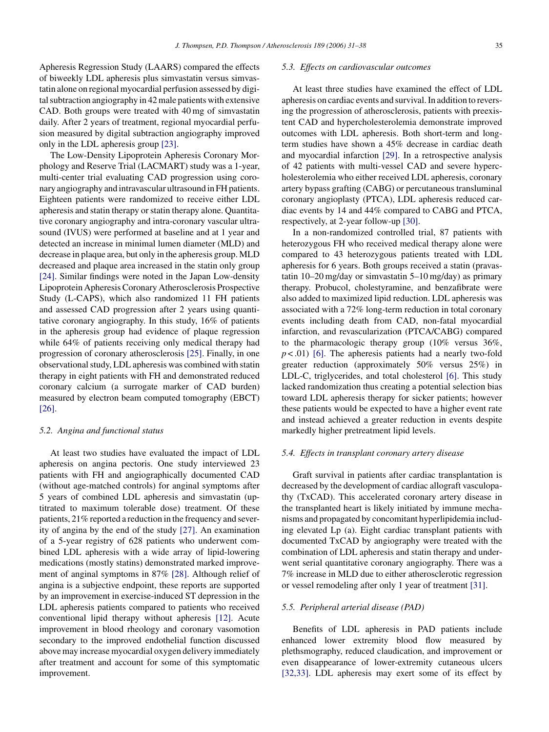Apheresis Regression Study (LAARS) compared the effects of biweekly LDL apheresis plus simvastatin versus simvastatin alone on regional myocardial perfusion assessed by digital subtraction angiography in 42 male patients with extensive CAD. Both groups were treated with 40 mg of simvastatin daily. After 2 years of treatment, regional myocardial perfusion measured by digital subtraction angiography improved only in the LDL apheresis group [\[23\].](#page-6-0)

The Low-Density Lipoprotein Apheresis Coronary Morphology and Reserve Trial (LACMART) study was a 1-year, multi-center trial evaluating CAD progression using coronary angiography and intravascular ultrasound in FH patients. Eighteen patients were randomized to receive either LDL apheresis and statin therapy or statin therapy alone. Quantitative coronary angiography and intra-coronary vascular ultrasound (IVUS) were performed at baseline and at 1 year and detected an increase in minimal lumen diameter (MLD) and decrease in plaque area, but only in the apheresis group. MLD decreased and plaque area increased in the statin only group [\[24\].](#page-6-0) Similar findings were noted in the Japan Low-density Lipoprotein Apheresis Coronary Atherosclerosis Prospective Study (L-CAPS), which also randomized 11 FH patients and assessed CAD progression after 2 years using quantitative coronary angiography. In this study, 16% of patients in the apheresis group had evidence of plaque regression while 64% of patients receiving only medical therapy had progression of coronary atherosclerosis [\[25\].](#page-6-0) Finally, in one observational study, LDL apheresis was combined with statin therapy in eight patients with FH and demonstrated reduced coronary calcium (a surrogate marker of CAD burden) measured by electron beam computed tomography (EBCT) [\[26\].](#page-6-0)

#### *5.2. Angina and functional status*

At least two studies have evaluated the impact of LDL apheresis on angina pectoris. One study interviewed 23 patients with FH and angiographically documented CAD (without age-matched controls) for anginal symptoms after 5 years of combined LDL apheresis and simvastatin (uptitrated to maximum tolerable dose) treatment. Of these patients, 21% reported a reduction in the frequency and severity of angina by the end of the study [\[27\].](#page-6-0) An examination of a 5-year registry of 628 patients who underwent combined LDL apheresis with a wide array of lipid-lowering medications (mostly statins) demonstrated marked improvement of anginal symptoms in 87% [\[28\].](#page-6-0) Although relief of angina is a subjective endpoint, these reports are supported by an improvement in exercise-induced ST depression in the LDL apheresis patients compared to patients who received conventional lipid therapy without apheresis [\[12\].](#page-6-0) Acute improvement in blood rheology and coronary vasomotion secondary to the improved endothelial function discussed above may increase myocardial oxygen delivery immediately after treatment and account for some of this symptomatic improvement.

#### *5.3. Effects on cardiovascular outcomes*

At least three studies have examined the effect of LDL apheresis on cardiac events and survival. In addition to reversing the progression of atherosclerosis, patients with preexistent CAD and hypercholesterolemia demonstrate improved outcomes with LDL apheresis. Both short-term and longterm studies have shown a 45% decrease in cardiac death and myocardial infarction [\[29\].](#page-6-0) In a retrospective analysis of 42 patients with multi-vessel CAD and severe hypercholesterolemia who either received LDL apheresis, coronary artery bypass grafting (CABG) or percutaneous transluminal coronary angioplasty (PTCA), LDL apheresis reduced cardiac events by 14 and 44% compared to CABG and PTCA, respectively, at 2-year follow-up [\[30\].](#page-6-0)

In a non-randomized controlled trial, 87 patients with heterozygous FH who received medical therapy alone were compared to 43 heterozygous patients treated with LDL apheresis for 6 years. Both groups received a statin (pravastatin 10–20 mg/day or simvastatin 5–10 mg/day) as primary therapy. Probucol, cholestyramine, and benzafibrate were also added to maximized lipid reduction. LDL apheresis was associated with a 72% long-term reduction in total coronary events including death from CAD, non-fatal myocardial infarction, and revascularization (PTCA/CABG) compared to the pharmacologic therapy group (10% versus 36%,  $p < .01$ ) [\[6\].](#page-6-0) The apheresis patients had a nearly two-fold greater reduction (approximately 50% versus 25%) in LDL-C, triglycerides, and total cholesterol [\[6\].](#page-6-0) This study lacked randomization thus creating a potential selection bias toward LDL apheresis therapy for sicker patients; however these patients would be expected to have a higher event rate and instead achieved a greater reduction in events despite markedly higher pretreatment lipid levels.

#### *5.4. Effects in transplant coronary artery disease*

Graft survival in patients after cardiac transplantation is decreased by the development of cardiac allograft vasculopathy (TxCAD). This accelerated coronary artery disease in the transplanted heart is likely initiated by immune mechanisms and propagated by concomitant hyperlipidemia including elevated Lp (a). Eight cardiac transplant patients with documented TxCAD by angiography were treated with the combination of LDL apheresis and statin therapy and underwent serial quantitative coronary angiography. There was a 7% increase in MLD due to either atherosclerotic regression or vessel remodeling after only 1 year of treatment [\[31\].](#page-6-0)

#### *5.5. Peripheral arterial disease (PAD)*

Benefits of LDL apheresis in PAD patients include enhanced lower extremity blood flow measured by plethsmography, reduced claudication, and improvement or even disappearance of lower-extremity cutaneous ulcers [\[32,33\].](#page-6-0) LDL apheresis may exert some of its effect by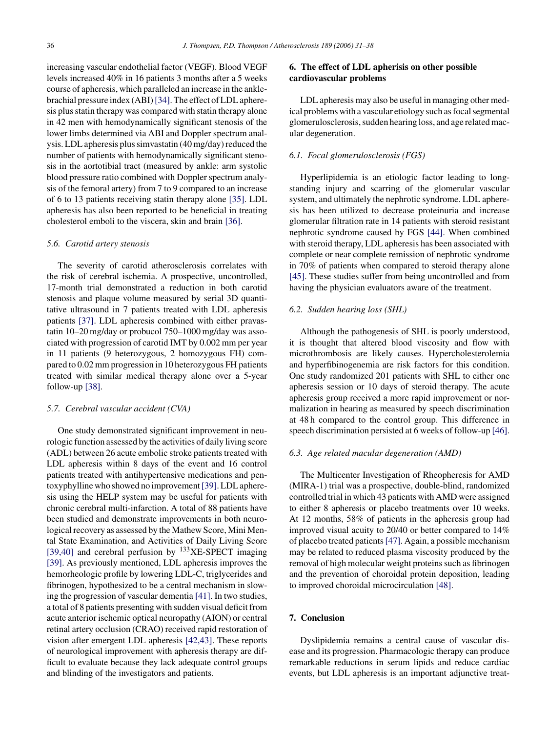increasing vascular endothelial factor (VEGF). Blood VEGF levels increased 40% in 16 patients 3 months after a 5 weeks course of apheresis, which paralleled an increase in the anklebrachial pressure index (ABI)[\[34\]. T](#page-6-0)he effect of LDL apheresis plus statin therapy was compared with statin therapy alone in 42 men with hemodynamically significant stenosis of the lower limbs determined via ABI and Doppler spectrum analysis. LDL apheresis plus simvastatin (40 mg/day) reduced the number of patients with hemodynamically significant stenosis in the aortotibial tract (measured by ankle: arm systolic blood pressure ratio combined with Doppler spectrum analysis of the femoral artery) from 7 to 9 compared to an increase of 6 to 13 patients receiving statin therapy alone [\[35\].](#page-6-0) LDL apheresis has also been reported to be beneficial in treating cholesterol emboli to the viscera, skin and brain [\[36\].](#page-7-0)

## *5.6. Carotid artery stenosis*

The severity of carotid atherosclerosis correlates with the risk of cerebral ischemia. A prospective, uncontrolled, 17-month trial demonstrated a reduction in both carotid stenosis and plaque volume measured by serial 3D quantitative ultrasound in 7 patients treated with LDL apheresis patients [\[37\].](#page-7-0) LDL apheresis combined with either pravastatin 10–20 mg/day or probucol 750–1000 mg/day was associated with progression of carotid IMT by 0.002 mm per year in 11 patients (9 heterozygous, 2 homozygous FH) compared to 0.02 mm progression in 10 heterozygous FH patients treated with similar medical therapy alone over a 5-year follow-up [\[38\].](#page-7-0)

## *5.7. Cerebral vascular accident (CVA)*

One study demonstrated significant improvement in neurologic function assessed by the activities of daily living score (ADL) between 26 acute embolic stroke patients treated with LDL apheresis within 8 days of the event and 16 control patients treated with antihypertensive medications and pentoxyphylline who showed no improvement[\[39\]. L](#page-7-0)DL apheresis using the HELP system may be useful for patients with chronic cerebral multi-infarction. A total of 88 patients have been studied and demonstrate improvements in both neurological recovery as assessed by the Mathew Score, Mini Mental State Examination, and Activities of Daily Living Score [\[39,40\]](#page-7-0) and cerebral perfusion by  $133$ XE-SPECT imaging [\[39\].](#page-7-0) As previously mentioned, LDL apheresis improves the hemorheologic profile by lowering LDL-C, triglycerides and fibrinogen, hypothesized to be a central mechanism in slowing the progression of vascular dementia [\[41\]. I](#page-7-0)n two studies, a total of 8 patients presenting with sudden visual deficit from acute anterior ischemic optical neuropathy (AION) or central retinal artery occlusion (CRAO) received rapid restoration of vision after emergent LDL apheresis [\[42,43\].](#page-7-0) These reports of neurological improvement with apheresis therapy are difficult to evaluate because they lack adequate control groups and blinding of the investigators and patients.

## **6. The effect of LDL apherisis on other possible cardiovascular problems**

LDL apheresis may also be useful in managing other medical problems with a vascular etiology such as focal segmental glomerulosclerosis, sudden hearing loss, and age related macular degeneration.

#### *6.1. Focal glomerulosclerosis (FGS)*

Hyperlipidemia is an etiologic factor leading to longstanding injury and scarring of the glomerular vascular system, and ultimately the nephrotic syndrome. LDL apheresis has been utilized to decrease proteinuria and increase glomerular filtration rate in 14 patients with steroid resistant nephrotic syndrome caused by FGS [\[44\].](#page-7-0) When combined with steroid therapy, LDL apheresis has been associated with complete or near complete remission of nephrotic syndrome in 70% of patients when compared to steroid therapy alone [\[45\].](#page-7-0) These studies suffer from being uncontrolled and from having the physician evaluators aware of the treatment.

#### *6.2. Sudden hearing loss (SHL)*

Although the pathogenesis of SHL is poorly understood, it is thought that altered blood viscosity and flow with microthrombosis are likely causes. Hypercholesterolemia and hyperfibinogenemia are risk factors for this condition. One study randomized 201 patients with SHL to either one apheresis session or 10 days of steroid therapy. The acute apheresis group received a more rapid improvement or normalization in hearing as measured by speech discrimination at 48 h compared to the control group. This difference in speech discrimination persisted at 6 weeks of follow-up [\[46\].](#page-7-0)

#### *6.3. Age related macular degeneration (AMD)*

The Multicenter Investigation of Rheopheresis for AMD (MIRA-1) trial was a prospective, double-blind, randomized controlled trial in which 43 patients with AMD were assigned to either 8 apheresis or placebo treatments over 10 weeks. At 12 months, 58% of patients in the apheresis group had improved visual acuity to 20/40 or better compared to 14% of placebo treated patients[\[47\]. A](#page-7-0)gain, a possible mechanism may be related to reduced plasma viscosity produced by the removal of high molecular weight proteins such as fibrinogen and the prevention of choroidal protein deposition, leading to improved choroidal microcirculation [\[48\].](#page-7-0)

## **7. Conclusion**

Dyslipidemia remains a central cause of vascular disease and its progression. Pharmacologic therapy can produce remarkable reductions in serum lipids and reduce cardiac events, but LDL apheresis is an important adjunctive treat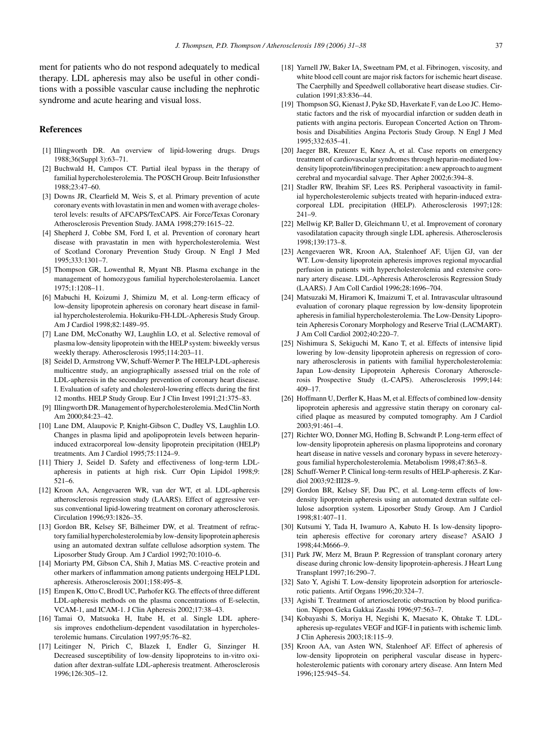<span id="page-6-0"></span>ment for patients who do not respond adequately to medical therapy. LDL apheresis may also be useful in other conditions with a possible vascular cause including the nephrotic syndrome and acute hearing and visual loss.

## **References**

- [1] Illingworth DR. An overview of lipid-lowering drugs. Drugs 1988;36(Suppl 3):63–71.
- [2] Buchwald H, Campos CT. Partial ileal bypass in the therapy of familial hypercholesterolemia. The POSCH Group. Beitr Infusionsther 1988;23:47–60.
- [3] Downs JR, Clearfield M, Weis S, et al. Primary prevention of acute coronary events with lovastatin in men and women with average cholesterol levels: results of AFCAPS/TexCAPS. Air Force/Texas Coronary Atherosclerosis Prevention Study. JAMA 1998;279:1615–22.
- [4] Shepherd J, Cobbe SM, Ford I, et al. Prevention of coronary heart disease with pravastatin in men with hypercholesterolemia. West of Scotland Coronary Prevention Study Group. N Engl J Med 1995;333:1301–7.
- [5] Thompson GR, Lowenthal R, Myant NB. Plasma exchange in the management of homozygous familial hypercholesterolaemia. Lancet 1975;1:1208–11.
- [6] Mabuchi H, Koizumi J, Shimizu M, et al. Long-term efficacy of low-density lipoprotein apheresis on coronary heart disease in familial hypercholesterolemia. Hokuriku-FH-LDL-Apheresis Study Group. Am J Cardiol 1998;82:1489–95.
- [7] Lane DM, McConathy WJ, Laughlin LO, et al. Selective removal of plasma low-density lipoprotein with the HELP system: biweekly versus weekly therapy. Atherosclerosis 1995;114:203–11.
- [8] Seidel D, Armstrong VW, Schuff-Werner P. The HELP-LDL-apheresis multicentre study, an angiographically assessed trial on the role of LDL-apheresis in the secondary prevention of coronary heart disease. I. Evaluation of safety and cholesterol-lowering effects during the first 12 months. HELP Study Group. Eur J Clin Invest 1991;21:375–83.
- [9] Illingworth DR. Management of hypercholesterolemia. Med Clin North Am 2000;84:23–42.
- [10] Lane DM, Alaupovic P, Knight-Gibson C, Dudley VS, Laughlin LO. Changes in plasma lipid and apolipoprotein levels between heparininduced extracorporeal low-density lipoprotein precipitation (HELP) treatments. Am J Cardiol 1995;75:1124–9.
- [11] Thiery J, Seidel D. Safety and effectiveness of long-term LDLapheresis in patients at high risk. Curr Opin Lipidol 1998;9: 521–6.
- [12] Kroon AA, Aengevaeren WR, van der WT, et al. LDL-apheresis atherosclerosis regression study (LAARS). Effect of aggressive versus conventional lipid-lowering treatment on coronary atherosclerosis. Circulation 1996;93:1826–35.
- [13] Gordon BR, Kelsey SF, Bilheimer DW, et al. Treatment of refractory familial hypercholesterolemia by low-density lipoprotein apheresis using an automated dextran sulfate cellulose adsorption system. The Liposorber Study Group. Am J Cardiol 1992;70:1010–6.
- [14] Moriarty PM, Gibson CA, Shih J, Matias MS. C-reactive protein and other markers of inflammation among patients undergoing HELP LDL apheresis. Atherosclerosis 2001;158:495–8.
- [15] Empen K, Otto C, Brodl UC, Parhofer KG. The effects of three different LDL-apheresis methods on the plasma concentrations of E-selectin, VCAM-1, and ICAM-1. J Clin Apheresis 2002;17:38–43.
- [16] Tamai O, Matsuoka H, Itabe H, et al. Single LDL apheresis improves endothelium-dependent vasodilatation in hypercholesterolemic humans. Circulation 1997;95:76–82.
- [17] Leitinger N, Pirich C, Blazek I, Endler G, Sinzinger H. Decreased susceptibility of low-density lipoproteins to in-vitro oxidation after dextran-sulfate LDL-apheresis treatment. Atherosclerosis 1996;126:305–12.
- [18] Yarnell JW, Baker IA, Sweetnam PM, et al. Fibrinogen, viscosity, and white blood cell count are major risk factors for ischemic heart disease. The Caerphilly and Speedwell collaborative heart disease studies. Circulation 1991;83:836–44.
- [19] Thompson SG, Kienast J, Pyke SD, Haverkate F, van de Loo JC. Hemostatic factors and the risk of myocardial infarction or sudden death in patients with angina pectoris. European Concerted Action on Thrombosis and Disabilities Angina Pectoris Study Group. N Engl J Med 1995;332:635–41.
- [20] Jaeger BR, Kreuzer E, Knez A, et al. Case reports on emergency treatment of cardiovascular syndromes through heparin-mediated lowdensity lipoprotein/fibrinogen precipitation: a new approach to augment cerebral and myocardial salvage. Ther Apher 2002;6:394–8.
- [21] Stadler RW, Ibrahim SF, Lees RS. Peripheral vasoactivity in familial hypercholesterolemic subjects treated with heparin-induced extracorporeal LDL precipitation (HELP). Atherosclerosis 1997;128: 241–9.
- [22] Mellwig KP, Baller D, Gleichmann U, et al. Improvement of coronary vasodilatation capacity through single LDL apheresis. Atherosclerosis 1998;139:173–8.
- [23] Aengevaeren WR, Kroon AA, Stalenhoef AF, Uijen GJ, van der WT. Low-density lipoprotein apheresis improves regional myocardial perfusion in patients with hypercholesterolemia and extensive coronary artery disease. LDL-Apheresis Atherosclerosis Regression Study (LAARS). J Am Coll Cardiol 1996;28:1696–704.
- [24] Matsuzaki M, Hiramori K, Imaizumi T, et al. Intravascular ultrasound evaluation of coronary plaque regression by low-density lipoprotein apheresis in familial hypercholesterolemia. The Low-Density Lipoprotein Apheresis Coronary Morphology and Reserve Trial (LACMART). J Am Coll Cardiol 2002;40:220–7.
- [25] Nishimura S, Sekiguchi M, Kano T, et al. Effects of intensive lipid lowering by low-density lipoprotein apheresis on regression of coronary atherosclerosis in patients with familial hypercholesterolemia: Japan Low-density Lipoprotein Apheresis Coronary Atherosclerosis Prospective Study (L-CAPS). Atherosclerosis 1999;144: 409–17.
- [26] Hoffmann U, Derfler K, Haas M, et al. Effects of combined low-density lipoprotein apheresis and aggressive statin therapy on coronary calcified plaque as measured by computed tomography. Am J Cardiol 2003;91:461–4.
- [27] Richter WO, Donner MG, Hofling B, Schwandt P. Long-term effect of low-density lipoprotein apheresis on plasma lipoproteins and coronary heart disease in native vessels and coronary bypass in severe heterozygous familial hypercholesterolemia. Metabolism 1998;47:863–8.
- [28] Schuff-Werner P. Clinical long-term results of HELP-apheresis. Z Kardiol 2003;92:III28–9.
- [29] Gordon BR, Kelsey SF, Dau PC, et al. Long-term effects of lowdensity lipoprotein apheresis using an automated dextran sulfate cellulose adsorption system. Liposorber Study Group. Am J Cardiol 1998;81:407–11.
- [30] Kutsumi Y, Tada H, Iwamuro A, Kabuto H. Is low-density lipoprotein apheresis effective for coronary artery disease? ASAIO J 1998;44:M666–9.
- [31] Park JW, Merz M, Braun P. Regression of transplant coronary artery disease during chronic low-density lipoprotein-apheresis. J Heart Lung Transplant 1997;16:290–7.
- [32] Sato Y, Agishi T. Low-density lipoprotein adsorption for arteriosclerotic patients. Artif Organs 1996;20:324–7.
- [33] Agishi T. Treatment of arteriosclerotic obstruction by blood purification. Nippon Geka Gakkai Zasshi 1996;97:563–7.
- [34] Kobayashi S, Moriya H, Negishi K, Maesato K, Ohtake T. LDLapheresis up-regulates VEGF and IGF-I in patients with ischemic limb. J Clin Apheresis 2003;18:115–9.
- [35] Kroon AA, van Asten WN, Stalenhoef AF. Effect of apheresis of low-density lipoprotein on peripheral vascular disease in hypercholesterolemic patients with coronary artery disease. Ann Intern Med 1996;125:945–54.